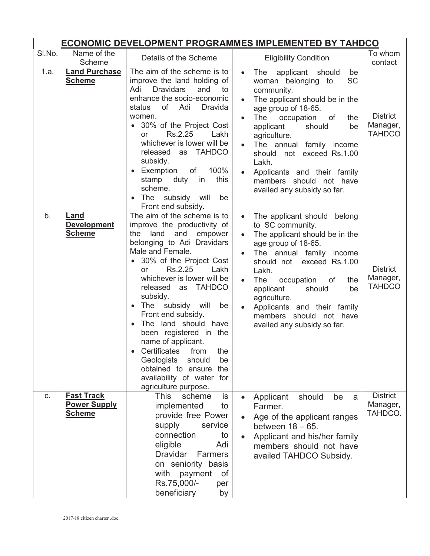|        | ECONOMIC DEVELOPMENT PROGRAMMES IMPLEMENTED BY TAHDCO     |                                                                                                                                                                                                                                                                                                                                                                                                                                                                                                                                                  |                                                                                                                                                                                                                                                                                                                                                                                                                                                          |  |  |  |
|--------|-----------------------------------------------------------|--------------------------------------------------------------------------------------------------------------------------------------------------------------------------------------------------------------------------------------------------------------------------------------------------------------------------------------------------------------------------------------------------------------------------------------------------------------------------------------------------------------------------------------------------|----------------------------------------------------------------------------------------------------------------------------------------------------------------------------------------------------------------------------------------------------------------------------------------------------------------------------------------------------------------------------------------------------------------------------------------------------------|--|--|--|
| SI.No. | Name of the<br>Scheme                                     | Details of the Scheme                                                                                                                                                                                                                                                                                                                                                                                                                                                                                                                            | To whom<br><b>Eligibility Condition</b><br>contact                                                                                                                                                                                                                                                                                                                                                                                                       |  |  |  |
| 1.a.   | <b>Land Purchase</b><br><b>Scheme</b>                     | The aim of the scheme is to<br>improve the land holding of<br><b>Dravidars</b><br>and<br>Adi<br>to<br>enhance the socio-economic<br>of<br>Adi<br>status<br><b>Dravida</b><br>women.<br>• 30% of the Project Cost<br>Rs.2.25<br>Lakh<br><b>or</b><br>whichever is lower will be<br>released as TAHDCO<br>subsidy.<br>• Exemption<br>100%<br>of<br>stamp duty<br>this<br>in<br>scheme.<br>The subsidy will<br>be<br>Front end subsidy.                                                                                                             | The<br>applicant<br>should<br>be<br>$\bullet$<br><b>SC</b><br>woman belonging to<br>community.<br>The applicant should be in the<br>age group of 18-65.<br><b>District</b><br><b>The</b><br>occupation<br>of<br>the<br>Manager,<br>applicant<br>should<br>be<br><b>TAHDCO</b><br>agriculture.<br>The annual family income<br>should not exceed Rs.1.00<br>Lakh.<br>Applicants and their family<br>members should not have<br>availed any subsidy so far. |  |  |  |
| b.     | Land<br><b>Development</b><br><b>Scheme</b>               | The aim of the scheme is to<br>improve the productivity of<br>and<br>land<br>empower<br>the<br>belonging to Adi Dravidars<br>Male and Female.<br>• 30% of the Project Cost<br>Rs.2.25<br>Lakh<br><b>or</b><br>whichever is lower will be<br>released as TAHDCO<br>subsidy.<br>• The subsidy will<br>be<br>Front end subsidy.<br>The land should have<br>been registered in the<br>name of applicant.<br>Certificates<br>from<br>the<br>Geologists<br>should<br>be<br>obtained to ensure the<br>availability of water for<br>agriculture purpose. | The applicant should belong<br>$\bullet$<br>to SC community.<br>The applicant should be in the<br>$\bullet$<br>age group of 18-65.<br>The annual family income<br>should not exceed Rs.1.00<br><b>District</b><br>Lakh.<br>Manager,<br><b>The</b><br>occupation<br>of<br>the<br><b>TAHDCO</b><br>applicant<br>should<br>be<br>agriculture.<br>Applicants and their family<br>members should not have<br>availed any subsidy so far.                      |  |  |  |
| C.     | <b>Fast Track</b><br><b>Power Supply</b><br><b>Scheme</b> | is<br><b>This</b><br>scheme<br>implemented<br>to<br>provide free Power<br>supply<br>service<br>connection<br>to<br>Adi<br>eligible<br>Dravidar<br>Farmers<br>on seniority basis<br>with<br>payment<br>of<br>Rs.75,000/-<br>per<br>beneficiary<br>by                                                                                                                                                                                                                                                                                              | <b>District</b><br>should<br>Applicant<br>be<br>a<br>Manager,<br>Farmer.<br>TAHDCO.<br>Age of the applicant ranges<br>between $18 - 65$ .<br>Applicant and his/her family<br>members should not have<br>availed TAHDCO Subsidy.                                                                                                                                                                                                                          |  |  |  |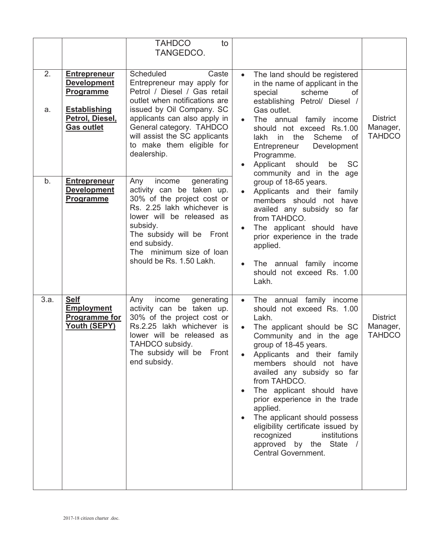|          |                                                                                                                              | <b>TAHDCO</b><br>to<br>TANGEDCO.                                                                                                                                                                                                                                                        |           |                                                                                                                                                                                                                                                                                                                                                                                                                                                                                                  |                                              |                                              |
|----------|------------------------------------------------------------------------------------------------------------------------------|-----------------------------------------------------------------------------------------------------------------------------------------------------------------------------------------------------------------------------------------------------------------------------------------|-----------|--------------------------------------------------------------------------------------------------------------------------------------------------------------------------------------------------------------------------------------------------------------------------------------------------------------------------------------------------------------------------------------------------------------------------------------------------------------------------------------------------|----------------------------------------------|----------------------------------------------|
| 2.<br>a. | <b>Entrepreneur</b><br><b>Development</b><br><b>Programme</b><br><b>Establishing</b><br>Petrol, Diesel,<br><b>Gas outlet</b> | Scheduled<br>Caste<br>Entrepreneur may apply for<br>Petrol / Diesel / Gas retail<br>outlet when notifications are<br>issued by Oil Company. SC<br>applicants can also apply in<br>General category. TAHDCO<br>will assist the SC applicants<br>to make them eligible for<br>dealership. | $\bullet$ | The land should be registered<br>in the name of applicant in the<br>scheme<br>special<br>of<br>establishing Petrol/ Diesel /<br>Gas outlet.<br>The annual family income<br>should not exceed Rs.1.00<br>in the Scheme<br>of<br>lakh<br>Development<br>Entrepreneur<br>Programme.<br>Applicant should<br><b>SC</b><br>be                                                                                                                                                                          | community and in the age                     | <b>District</b><br>Manager,<br><b>TAHDCO</b> |
| b.       | <b>Entrepreneur</b><br><b>Development</b><br><b>Programme</b>                                                                | generating<br>income<br>Any<br>activity can be taken up.<br>30% of the project cost or<br>Rs. 2.25 lakh whichever is<br>lower will be released as<br>subsidy.<br>The subsidy will be Front<br>end subsidy.<br>The minimum size of loan<br>should be Rs. 1.50 Lakh.                      |           | group of 18-65 years.<br>Applicants and their family<br>members should not have<br>availed any subsidy so far<br>from TAHDCO.<br>The applicant should have<br>prior experience in the trade<br>applied.<br>The annual family income<br>should not exceed Rs. 1.00<br>Lakh.                                                                                                                                                                                                                       |                                              |                                              |
| 3.a.     | <b>Self</b><br><b>Employment</b><br><b>Programme for</b><br>Youth (SEPY)                                                     | generating<br>income<br>Any<br>activity can be taken up.<br>30% of the project cost or<br>Rs.2.25 lakh whichever is<br>lower will be released as<br>TAHDCO subsidy.<br>The subsidy will be Front<br>end subsidy.                                                                        | $\bullet$ | The annual family income<br>should not exceed Rs. 1.00<br>Lakh.<br>The applicant should be SC<br>Community and in the age<br>group of 18-45 years.<br>Applicants and their family<br>members should not have<br>availed any subsidy so far<br>from TAHDCO.<br>The applicant should have<br>prior experience in the trade<br>applied.<br>The applicant should possess<br>eligibility certificate issued by<br>institutions<br>recognized<br>approved by the State /<br><b>Central Government.</b> | <b>District</b><br>Manager,<br><b>TAHDCO</b> |                                              |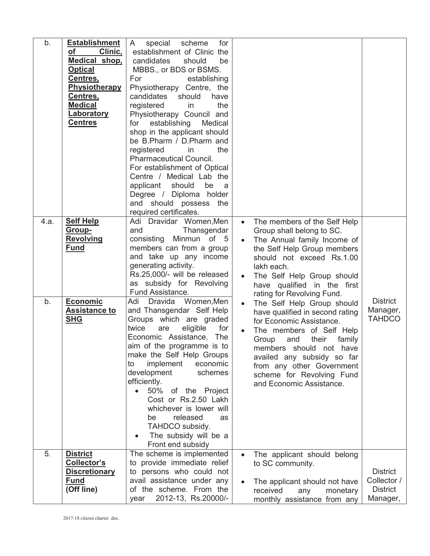| b.         | <b>Establishment</b><br>Clinic,<br>оf<br>Medical shop,<br><b>Optical</b><br>Centres,<br>Physiotherapy<br>Centres,<br><b>Medical</b><br><u>Laboratory</u><br><b>Centres</b> | for<br>special<br>scheme<br>A<br>establishment of Clinic the<br>candidates<br>should<br>be<br>MBBS., or BDS or BSMS.<br>For<br>establishing<br>Physiotherapy Centre, the<br>candidates<br>should<br>have<br>the<br>registered<br>in<br>Physiotherapy Council and<br>establishing<br>Medical<br>for<br>shop in the applicant should<br>be B.Pharm / D.Pharm and<br>registered<br>the<br>in<br><b>Pharmaceutical Council.</b><br>For establishment of Optical<br>Centre / Medical Lab the<br>applicant<br>should<br>be<br>a a<br>Degree / Diploma holder<br>and should possess<br>the<br>required certificates.       |           |                                                                                                                                                                                                                                                                                                                                                                                                                                                                                                                                                                          |                                                               |
|------------|----------------------------------------------------------------------------------------------------------------------------------------------------------------------------|---------------------------------------------------------------------------------------------------------------------------------------------------------------------------------------------------------------------------------------------------------------------------------------------------------------------------------------------------------------------------------------------------------------------------------------------------------------------------------------------------------------------------------------------------------------------------------------------------------------------|-----------|--------------------------------------------------------------------------------------------------------------------------------------------------------------------------------------------------------------------------------------------------------------------------------------------------------------------------------------------------------------------------------------------------------------------------------------------------------------------------------------------------------------------------------------------------------------------------|---------------------------------------------------------------|
| 4.a.<br>b. | <b>Self Help</b><br>Group-<br><b>Revolving</b><br><u>Fund</u><br><b>Economic</b><br><b>Assistance to</b><br><b>SHG</b>                                                     | Adi Dravidar Women, Men<br>Thansgendar<br>and<br>Minmun of 5<br>consisting<br>members can from a group<br>and take up any income<br>generating activity.<br>Rs.25,000/- will be released<br>as subsidy for Revolving<br>Fund Assistance.<br>Adi<br>Dravida Women, Men<br>and Thansgendar Self Help<br>Groups which are graded<br>twice<br>for<br>eligible<br>are<br>Economic Assistance.<br><b>The</b><br>aim of the programme is to<br>make the Self Help Groups<br>implement<br>economic<br>to<br>development<br>schemes<br>efficiently.<br>50% of the Project<br>Cost or Rs.2.50 Lakh<br>whichever is lower will | $\bullet$ | The members of the Self Help<br>Group shall belong to SC.<br>The Annual family Income of<br>the Self Help Group members<br>should not exceed Rs.1.00<br>lakh each.<br>The Self Help Group should<br>have qualified in the first<br>rating for Revolving Fund.<br>The Self Help Group should<br>have qualified in second rating<br>for Economic Assistance.<br>The members of Self Help<br>Group<br>their<br>family<br>and<br>members should not have<br>availed any subsidy so far<br>from any other Government<br>scheme for Revolving Fund<br>and Economic Assistance. | <b>District</b><br>Manager,<br><b>TAHDCO</b>                  |
|            |                                                                                                                                                                            | released<br>be<br>as<br>TAHDCO subsidy.<br>The subsidy will be a<br>Front end subsidy                                                                                                                                                                                                                                                                                                                                                                                                                                                                                                                               |           |                                                                                                                                                                                                                                                                                                                                                                                                                                                                                                                                                                          |                                                               |
| 5.         | <b>District</b><br>Collector's<br><b>Discretionary</b><br><b>Fund</b><br>(Off line)                                                                                        | The scheme is implemented<br>to provide immediate relief<br>to persons who could not<br>avail assistance under any<br>of the scheme. From the<br>2012-13, Rs.20000/-<br>year                                                                                                                                                                                                                                                                                                                                                                                                                                        |           | The applicant should belong<br>to SC community.<br>The applicant should not have<br>received<br>monetary<br>any<br>monthly assistance from any                                                                                                                                                                                                                                                                                                                                                                                                                           | <b>District</b><br>Collector /<br><b>District</b><br>Manager, |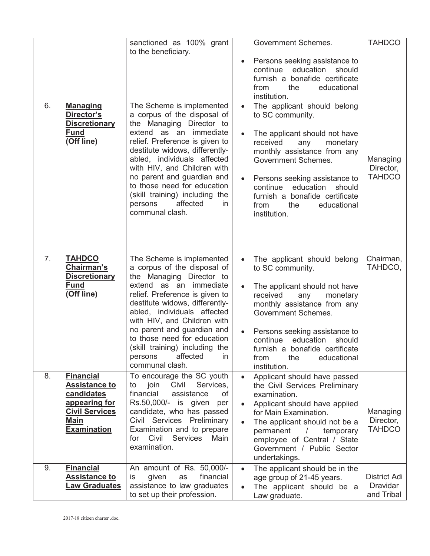|    |                                                                                                                                | sanctioned as 100% grant<br>to the beneficiary.                                                                                                                                                                                                                                                                                                                                                 |                                     | <b>Government Schemes.</b>                                                                                                                                                                                                                                                                                                       | <b>TAHDCO</b>                          |
|----|--------------------------------------------------------------------------------------------------------------------------------|-------------------------------------------------------------------------------------------------------------------------------------------------------------------------------------------------------------------------------------------------------------------------------------------------------------------------------------------------------------------------------------------------|-------------------------------------|----------------------------------------------------------------------------------------------------------------------------------------------------------------------------------------------------------------------------------------------------------------------------------------------------------------------------------|----------------------------------------|
|    |                                                                                                                                |                                                                                                                                                                                                                                                                                                                                                                                                 |                                     | Persons seeking assistance to<br>continue<br>education<br>should<br>furnish a bonafide certificate<br>educational<br>from<br>the<br>institution.                                                                                                                                                                                 |                                        |
| 6. | <b>Managing</b><br>Director's<br><b>Discretionary</b><br><b>Fund</b><br>(Off line)                                             | The Scheme is implemented<br>a corpus of the disposal of<br>the Managing Director to<br>extend as an immediate<br>relief. Preference is given to<br>destitute widows, differently-<br>abled, individuals affected<br>with HIV, and Children with<br>no parent and guardian and<br>to those need for education<br>(skill training) including the<br>affected<br>persons<br>in<br>communal clash. | $\bullet$                           | The applicant should belong<br>to SC community.<br>The applicant should not have<br>received<br>any<br>monetary<br>monthly assistance from any<br><b>Government Schemes.</b><br>Persons seeking assistance to<br>education<br>continue<br>should<br>furnish a bonafide certificate<br>from<br>educational<br>the<br>institution. | Managing<br>Director,<br><b>TAHDCO</b> |
| 7. | <b>TAHDCO</b><br>Chairman's<br><b>Discretionary</b><br><b>Fund</b><br>(Off line)                                               | The Scheme is implemented<br>a corpus of the disposal of<br>the Managing Director to<br>extend as an immediate<br>relief. Preference is given to<br>destitute widows, differently-<br>abled, individuals affected<br>with HIV, and Children with<br>no parent and guardian and<br>to those need for education<br>(skill training) including the<br>affected<br>in<br>persons<br>communal clash. | $\bullet$<br>$\bullet$              | The applicant should belong<br>to SC community.<br>The applicant should not have<br>received<br>monetary<br>any<br>monthly assistance from any<br><b>Government Schemes.</b><br>Persons seeking assistance to<br>education<br>continue<br>should<br>furnish a bonafide certificate<br>the<br>educational<br>from<br>institution. | Chairman,<br>TAHDCO,                   |
| 8. | <b>Financial</b><br><b>Assistance to</b><br>candidates<br>appearing for<br><b>Civil Services</b><br>Main<br><b>Examination</b> | To encourage the SC youth<br>Services,<br>join<br>Civil<br>to<br>financial<br>of<br>assistance<br>Rs.50,000/-<br>is given<br>per<br>candidate, who has passed<br>Civil Services Preliminary<br>Examination and to prepare<br>Civil<br><b>Services</b><br>for<br>Main<br>examination.                                                                                                            | $\bullet$<br>$\bullet$<br>$\bullet$ | Applicant should have passed<br>the Civil Services Preliminary<br>examination.<br>Applicant should have applied<br>for Main Examination.<br>The applicant should not be a<br>permanent<br>temporary<br>$\overline{\phantom{a}}$<br>employee of Central / State<br>Government / Public Sector<br>undertakings.                    | Managing<br>Director,<br><b>TAHDCO</b> |
| 9. | <b>Financial</b><br><b>Assistance to</b><br><b>Law Graduates</b>                                                               | An amount of Rs. 50,000/-<br>financial<br>is<br>given<br>as<br>assistance to law graduates<br>to set up their profession.                                                                                                                                                                                                                                                                       | $\bullet$                           | The applicant should be in the<br>age group of 21-45 years.<br>The applicant should be a<br>Law graduate.                                                                                                                                                                                                                        | District Adi<br>Dravidar<br>and Tribal |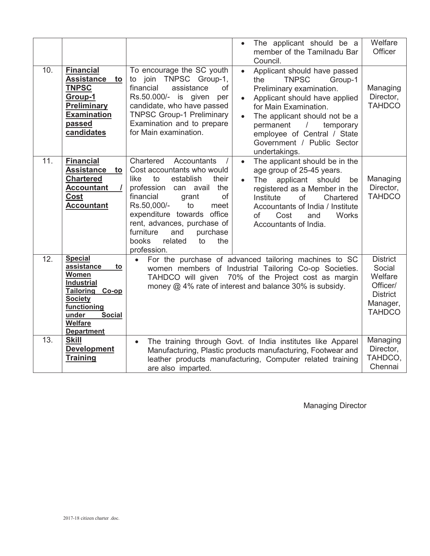|     |                                                                                                                                                                                             |                                                                                                                                                                                                                                                                                                                                 | The applicant should be a<br>member of the Tamilnadu Bar<br>Council.                                                                                                                                                                                                                                                     | Welfare<br>Officer                          |
|-----|---------------------------------------------------------------------------------------------------------------------------------------------------------------------------------------------|---------------------------------------------------------------------------------------------------------------------------------------------------------------------------------------------------------------------------------------------------------------------------------------------------------------------------------|--------------------------------------------------------------------------------------------------------------------------------------------------------------------------------------------------------------------------------------------------------------------------------------------------------------------------|---------------------------------------------|
| 10. | <b>Financial</b><br>Assistance to<br><b>TNPSC</b><br>Group-1<br><b>Preliminary</b><br><b>Examination</b><br>passed<br>candidates                                                            | To encourage the SC youth<br>to join TNPSC Group-1,<br>financial<br>of<br>assistance<br>Rs.50.000/- is given<br>per<br>candidate, who have passed<br><b>TNPSC Group-1 Preliminary</b><br>Examination and to prepare<br>for Main examination.                                                                                    | Applicant should have passed<br>$\bullet$<br><b>TNPSC</b><br>Group-1<br>the<br>Preliminary examination.<br>Applicant should have applied<br>for Main Examination.<br>The applicant should not be a<br>temporary<br>permanent<br>$\sqrt{2}$<br>employee of Central / State<br>Government / Public Sector<br>undertakings. | Managing<br>Director,<br><b>TAHDCO</b>      |
| 11. | <b>Financial</b><br>Assistance to<br><b>Chartered</b><br><b>Accountant</b><br>Cost<br><b>Accountant</b>                                                                                     | Chartered<br>Accountants<br>Cost accountants who would<br>to<br>establish<br>their<br>like<br>profession can avail<br>the<br>financial<br>of<br>grant<br>Rs.50,000/-<br>to<br>meet<br>expenditure towards office<br>rent, advances, purchase of<br>furniture<br>and<br>purchase<br>books<br>related<br>to<br>the<br>profession. | The applicant should be in the<br>$\bullet$<br>age group of 25-45 years.<br><b>The</b><br>applicant should<br>be<br>registered as a Member in the<br>Institute<br>of<br>Chartered<br>Accountants of India / Institute<br>Works<br>of<br>Cost<br>and<br>Accountants of India.                                             | Managing<br>Director,<br><b>TAHDCO</b>      |
| 12. | <b>Special</b><br>assistance<br>to<br>Women<br><b>Industrial</b><br>Tailoring<br>$Co$ -op<br><b>Society</b><br>functioning<br>under<br><b>Social</b><br><b>Welfare</b><br><b>Department</b> | For the purchase of advanced tailoring machines to SC<br>women members of Industrial Tailoring Co-op Societies.<br>TAHDCO will given 70% of the Project cost as margin<br>money @ 4% rate of interest and balance 30% is subsidy.                                                                                               |                                                                                                                                                                                                                                                                                                                          |                                             |
| 13. | <b>Skill</b><br><b>Development</b><br><b>Training</b>                                                                                                                                       | $\bullet$<br>are also imparted.                                                                                                                                                                                                                                                                                                 | The training through Govt. of India institutes like Apparel<br>Manufacturing, Plastic products manufacturing, Footwear and<br>leather products manufacturing, Computer related training                                                                                                                                  | Managing<br>Director,<br>TAHDCO,<br>Chennai |

Managing Director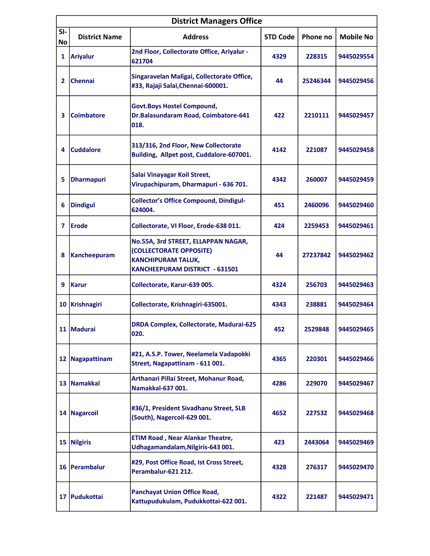| <b>District Managers Office</b> |                      |                                                                                                                               |                 |          |                  |  |  |
|---------------------------------|----------------------|-------------------------------------------------------------------------------------------------------------------------------|-----------------|----------|------------------|--|--|
| $SI-$<br>No                     | <b>District Name</b> | <b>Address</b>                                                                                                                | <b>STD Code</b> | Phone no | <b>Mobile No</b> |  |  |
| 1                               | <b>Ariyalur</b>      | 2nd Floor, Collectorate Office, Ariyalur -<br>621704                                                                          | 4329            | 228315   | 9445029554       |  |  |
| $\mathbf{2}$                    | <b>Chennai</b>       | Singaravelan Maligai, Collectorate Office,<br>#33, Rajaji Salai, Chennai-600001.                                              | 44              | 25246344 | 9445029456       |  |  |
| 3                               | <b>Coimbatore</b>    | <b>Govt.Boys Hostel Compound,</b><br>Dr.Balasundaram Road, Coimbatore-641<br>018.                                             | 422             | 2210111  | 9445029457       |  |  |
| 4                               | <b>Cuddalore</b>     | 313/316, 2nd Floor, New Collectorate<br>Building, Allpet post, Cuddalore-607001.                                              | 4142            | 221087   | 9445029458       |  |  |
| 5                               | <b>Dharmapuri</b>    | Salai Vinayagar Koil Street,<br>Virupachipuram, Dharmapuri - 636 701.                                                         | 4342            | 260007   | 9445029459       |  |  |
| 6                               | <b>Dindigul</b>      | <b>Collector's Office Compound, Dindigul-</b><br>624004.                                                                      | 451             | 2460096  | 9445029460       |  |  |
| 7                               | <b>Erode</b>         | Collectorate, VI Floor, Erode-638 011.                                                                                        | 424             | 2259453  | 9445029461       |  |  |
| 8                               | Kancheepuram         | No.55A, 3rd STREET, ELLAPPAN NAGAR,<br>(COLLECTORATE OPPOSITE)<br><b>KANCHIPURAM TALUK,</b><br>KANCHEEPURAM DISTRICT - 631501 | 44              | 27237842 | 9445029462       |  |  |
| 9                               | <b>Karur</b>         | Collectorate, Karur-639 005.                                                                                                  | 4324            | 256703   | 9445029463       |  |  |
|                                 | 10 Krishnagiri       | Collectorate, Krishnagiri-635001.                                                                                             | 4343            | 238881   | 9445029464       |  |  |
|                                 | 11 Madurai           | <b>DRDA Complex, Collectorate, Madurai-625</b><br>020.                                                                        | 452             | 2529848  | 9445029465       |  |  |
|                                 | 12 Nagapattinam      | #21, A.S.P. Tower, Neelamela Vadapokki<br>Street, Nagapattinam - 611 001.                                                     | 4365            | 220301   | 9445029466       |  |  |
|                                 | 13 Namakkal          | Arthanari Pillai Street, Mohanur Road,<br>Namakkal-637 001.                                                                   | 4286            | 229070   | 9445029467       |  |  |
|                                 | 14 Nagarcoil         | #36/1, President Sivadhanu Street, SLB<br>(South), Nagercoil-629 001.                                                         | 4652            | 227532   | 9445029468       |  |  |
|                                 | 15 Nilgiris          | <b>ETIM Road, Near Alankar Theatre,</b><br>Udhagamandalam, Nilgiris-643 001.                                                  | 423             | 2443064  | 9445029469       |  |  |
|                                 | 16 Perambalur        | #29, Post Office Road, Ist Cross Street,<br>Perambalur-621 212.                                                               | 4328            | 276317   | 9445029470       |  |  |
|                                 | 17 Pudukottai        | <b>Panchayat Union Office Road,</b><br>Kattupudukulam, Pudukkottai-622 001.                                                   | 4322            | 221487   | 9445029471       |  |  |